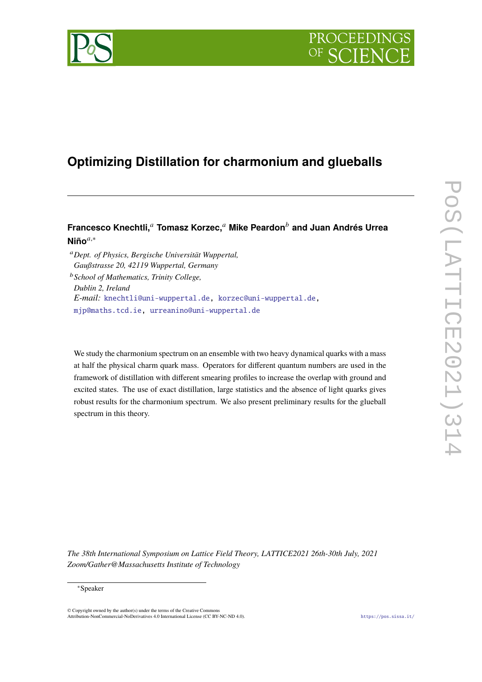



# **Optimizing Distillation for charmonium and glueballs**

# **Francesco Knechtli,**<sup>𝑎</sup> **Tomasz Korzec,**<sup>𝑎</sup> **Mike Peardon**<sup>𝑏</sup> **and Juan Andrés Urrea Niño**𝑎,<sup>∗</sup>

<sup>𝑎</sup>*Dept. of Physics, Bergische Universität Wuppertal, Gaußstrasse 20, 42119 Wuppertal, Germany* <sup>𝑏</sup>*School of Mathematics, Trinity College, Dublin 2, Ireland E-mail:* [knechtli@uni-wuppertal.de,](mailto:knechtli@uni-wuppertal.de) [korzec@uni-wuppertal.de,](mailto:korzec@uni-wuppertal.de) [mjp@maths.tcd.ie,](mailto:mjp@maths.tcd.ie) [urreanino@uni-wuppertal.de](mailto:urreanino@uni-wuppertal.de)

We study the charmonium spectrum on an ensemble with two heavy dynamical quarks with a mass at half the physical charm quark mass. Operators for different quantum numbers are used in the framework of distillation with different smearing profiles to increase the overlap with ground and excited states. The use of exact distillation, large statistics and the absence of light quarks gives robust results for the charmonium spectrum. We also present preliminary results for the glueball spectrum in this theory.

*The 38th International Symposium on Lattice Field Theory, LATTICE2021 26th-30th July, 2021 Zoom/Gather@Massachusetts Institute of Technology*

#### <sup>∗</sup>Speaker

© Copyright owned by the author(s) under the terms of the Creative Common Attribution-NonCommercial-NoDerivatives 4.0 International License (CC BY-NC-ND 4.0). <https://pos.sissa.it/>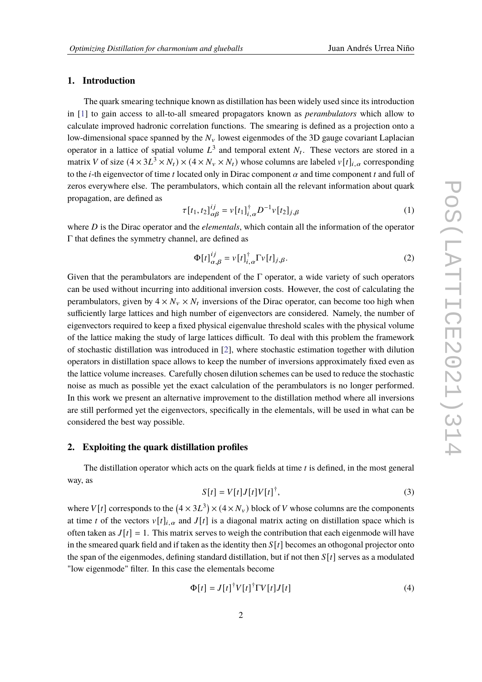# **1. Introduction**

The quark smearing technique known as distillation has been widely used since its introduction in [\[1\]](#page-8-0) to gain access to all-to-all smeared propagators known as *perambulators* which allow to calculate improved hadronic correlation functions. The smearing is defined as a projection onto a low-dimensional space spanned by the  $N_{\rm v}$  lowest eigenmodes of the 3D gauge covariant Laplacian operator in a lattice of spatial volume  $L^3$  and temporal extent  $N_t$ . These vectors are stored in a matrix V of size  $(4 \times 3L^3 \times N_t) \times (4 \times N_v \times N_t)$  whose columns are labeled  $v[t]_{i,\alpha}$  corresponding to the *i*-th eigenvector of time *t* located only in Dirac component  $\alpha$  and time component *t* and full of zeros everywhere else. The perambulators, which contain all the relevant information about quark propagation, are defined as

$$
\tau[t_1, t_2]_{\alpha\beta}^{ij} = v[t_1]_{i,\alpha}^{\dagger} D^{-1} v[t_2]_{j,\beta}
$$
 (1)

where *D* is the Dirac operator and the *elementals*, which contain all the information of the operator Γ that defines the symmetry channel, are defined as

$$
\Phi[t]_{\alpha,\beta}^{ij} = v[t]_{i,\alpha}^{\dagger} \Gamma v[t]_{j,\beta}.
$$
\n(2)

Given that the perambulators are independent of the  $\Gamma$  operator, a wide variety of such operators can be used without incurring into additional inversion costs. However, the cost of calculating the perambulators, given by  $4 \times N_{\nu} \times N_t$  inversions of the Dirac operator, can become too high when sufficiently large lattices and high number of eigenvectors are considered. Namely, the number of eigenvectors required to keep a fixed physical eigenvalue threshold scales with the physical volume of the lattice making the study of large lattices difficult. To deal with this problem the framework of stochastic distillation was introduced in [\[2\]](#page-8-1), where stochastic estimation together with dilution operators in distillation space allows to keep the number of inversions approximately fixed even as the lattice volume increases. Carefully chosen dilution schemes can be used to reduce the stochastic noise as much as possible yet the exact calculation of the perambulators is no longer performed. In this work we present an alternative improvement to the distillation method where all inversions are still performed yet the eigenvectors, specifically in the elementals, will be used in what can be considered the best way possible.

# **2. Exploiting the quark distillation profiles**

The distillation operator which acts on the quark fields at time  $t$  is defined, in the most general way, as

$$
S[t] = V[t]J[t]V[t]^{\dagger}, \qquad (3)
$$

where  $V[t]$  corresponds to the  $(4 \times 3L^3) \times (4 \times N_v)$  block of V whose columns are the components at time t of the vectors  $v[t]_{i,\alpha}$  and  $J[t]$  is a diagonal matrix acting on distillation space which is often taken as  $J[t] = 1$ . This matrix serves to weigh the contribution that each eigenmode will have in the smeared quark field and if taken as the identity then  $S[t]$  becomes an othogonal projector onto the span of the eigenmodes, defining standard distillation, but if not then  $S[t]$  serves as a modulated "low eigenmode" filter. In this case the elementals become

$$
\Phi[t] = J[t]^{\dagger} V[t]^{\dagger} \Gamma V[t] J[t] \tag{4}
$$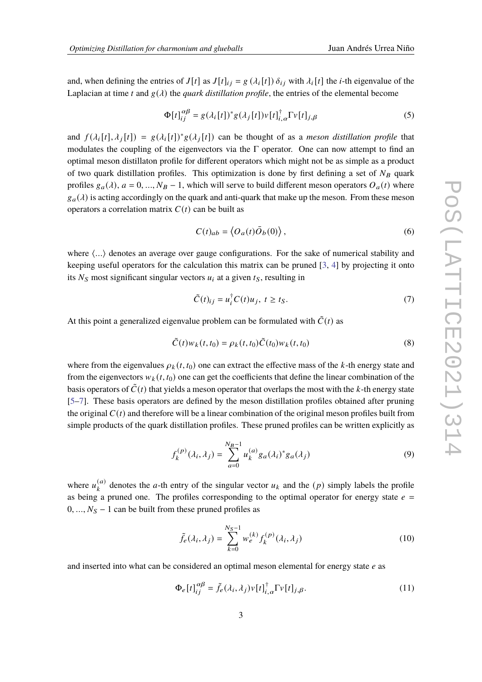and, when defining the entries of  $J[t]$  as  $J[t]_{ij} = g(\lambda_i[t]) \delta_{ij}$  with  $\lambda_i[t]$  the *i*-th eigenvalue of the Laplacian at time t and  $g(\lambda)$  the *quark distillation profile*, the entries of the elemental become

$$
\Phi[t]_{ii}^{\alpha\beta} = g(\lambda_i[t])^* g(\lambda_j[t]) v[t]_{i,\alpha}^\dagger \Gamma v[t]_{j,\beta} \tag{5}
$$

and  $f(\lambda_i[t], \lambda_i[t]) = g(\lambda_i[t])^* g(\lambda_i[t])$  can be thought of as a *meson distillation profile* that modulates the coupling of the eigenvectors via the  $\Gamma$  operator. One can now attempt to find an optimal meson distillaton profile for different operators which might not be as simple as a product of two quark distillation profiles. This optimization is done by first defining a set of  $N_B$  quark profiles  $g_a(\lambda)$ ,  $a = 0, ..., N_B - 1$ , which will serve to build different meson operators  $O_a(t)$  where  $g_a(\lambda)$  is acting accordingly on the quark and anti-quark that make up the meson. From these meson operators a correlation matrix  $C(t)$  can be built as

$$
C(t)_{ab} = \langle O_a(t)\overline{O}_b(0)\rangle, \qquad (6)
$$

where  $\langle \ldots \rangle$  denotes an average over gauge configurations. For the sake of numerical stability and keeping useful operators for the calculation this matrix can be pruned [\[3,](#page-8-2) [4\]](#page-8-3) by projecting it onto its  $N_S$  most significant singular vectors  $u_i$  at a given  $t_S$ , resulting in

$$
\tilde{C}(t)_{ij} = u_i^{\dagger} C(t) u_j, \ t \ge t_S. \tag{7}
$$

At this point a generalized eigenvalue problem can be formulated with  $\tilde{C}(t)$  as

$$
\tilde{C}(t)w_k(t,t_0) = \rho_k(t,t_0)\tilde{C}(t_0)w_k(t,t_0)
$$
\n(8)

where from the eigenvalues  $\rho_k(t, t_0)$  one can extract the effective mass of the k-th energy state and from the eigenvectors  $w_k(t, t_0)$  one can get the coefficients that define the linear combination of the basis operators of  $\tilde{C}(t)$  that yields a meson operator that overlaps the most with the k-th energy state [\[5](#page-8-4)[–7\]](#page-8-5). These basis operators are defined by the meson distillation profiles obtained after pruning the original  $C(t)$  and therefore will be a linear combination of the original meson profiles built from simple products of the quark distillation profiles. These pruned profiles can be written explicitly as

$$
f_k^{(p)}(\lambda_i, \lambda_j) = \sum_{a=0}^{N_B - 1} u_k^{(a)} g_a(\lambda_i)^* g_a(\lambda_j)
$$
 (9)

where  $u_k^{(a)}$  $\binom{a}{k}$  denotes the *a*-th entry of the singular vector  $u_k$  and the  $(p)$  simply labels the profile as being a pruned one. The profiles corresponding to the optimal operator for energy state  $e =$  $0, ..., N<sub>S</sub> - 1$  can be built from these pruned profiles as

$$
\tilde{f}_e(\lambda_i, \lambda_j) = \sum_{k=0}^{N_S - 1} w_e^{(k)} f_k^{(p)}(\lambda_i, \lambda_j)
$$
\n(10)

and inserted into what can be considered an optimal meson elemental for energy state  $e$  as

$$
\Phi_e[t]_{ij}^{\alpha\beta} = \tilde{f}_e(\lambda_i, \lambda_j) v[t]_{i,\alpha}^\dagger \Gamma v[t]_{j,\beta}.
$$
\n(11)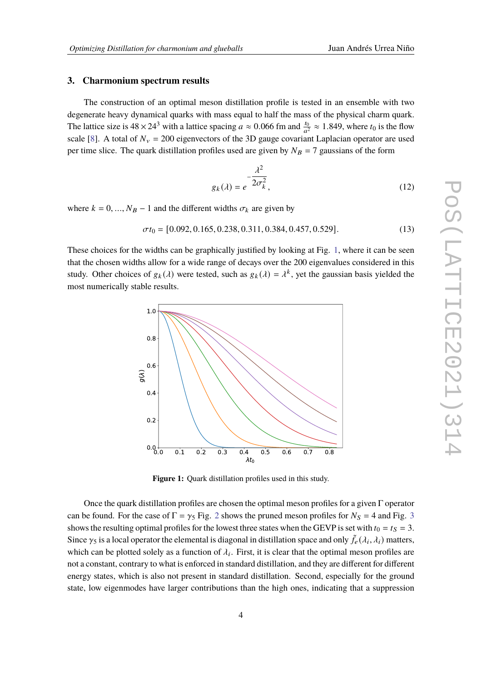#### **3. Charmonium spectrum results**

The construction of an optimal meson distillation profile is tested in an ensemble with two degenerate heavy dynamical quarks with mass equal to half the mass of the physical charm quark. The lattice size is  $48 \times 24^3$  with a lattice spacing  $a \approx 0.066$  fm and  $\frac{t_0}{a^2} \approx 1.849$ , where  $t_0$  is the flow scale [\[8\]](#page-8-6). A total of  $N_v = 200$  eigenvectors of the 3D gauge covariant Laplacian operator are used per time slice. The quark distillation profiles used are given by  $N_B = 7$  gaussians of the form

$$
g_k(\lambda) = e^{-\frac{\lambda^2}{2\sigma_k^2}},
$$
\n(12)

where  $k = 0, ..., N_B - 1$  and the different widths  $\sigma_k$  are given by

$$
\sigma t_0 = [0.092, 0.165, 0.238, 0.311, 0.384, 0.457, 0.529]. \tag{13}
$$

<span id="page-3-0"></span>These choices for the widths can be graphically justified by looking at Fig. [1,](#page-3-0) where it can be seen that the chosen widths allow for a wide range of decays over the 200 eigenvalues considered in this study. Other choices of  $g_k(\lambda)$  were tested, such as  $g_k(\lambda) = \lambda^k$ , yet the gaussian basis yielded the most numerically stable results.



**Figure 1:** Quark distillation profiles used in this study.

Once the quark distillation profiles are chosen the optimal meson profiles for a given Γ operator can be found. For the case of  $\Gamma = \gamma_5$  Fig. [2](#page-4-0) shows the pruned meson profiles for  $N_s = 4$  and Fig. [3](#page-4-0) shows the resulting optimal profiles for the lowest three states when the GEVP is set with  $t_0 = t_s = 3$ . Since  $\gamma_5$  is a local operator the elemental is diagonal in distillation space and only  $\tilde{f}_e(\lambda_i,\lambda_i)$  matters, which can be plotted solely as a function of  $\lambda_i$ . First, it is clear that the optimal meson profiles are not a constant, contrary to what is enforced in standard distillation, and they are different for different energy states, which is also not present in standard distillation. Second, especially for the ground state, low eigenmodes have larger contributions than the high ones, indicating that a suppression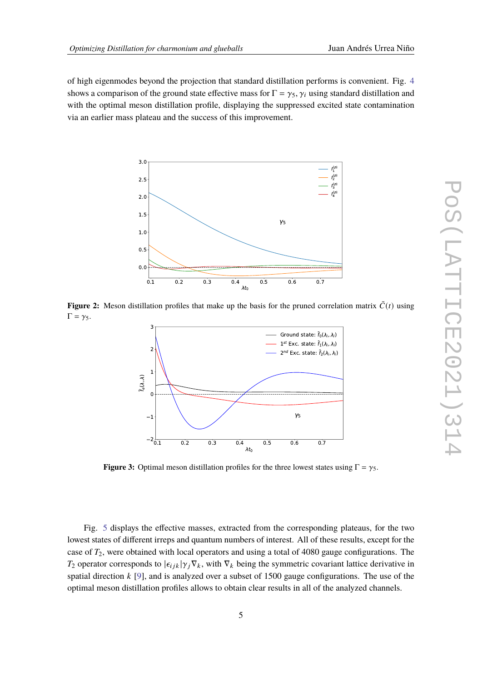of high eigenmodes beyond the projection that standard distillation performs is convenient. Fig. [4](#page-5-0) shows a comparison of the ground state effective mass for  $\Gamma = \gamma_5$ ,  $\gamma_i$  using standard distillation and with the optimal meson distillation profile, displaying the suppressed excited state contamination via an earlier mass plateau and the success of this improvement.

<span id="page-4-0"></span>

**Figure 2:** Meson distillation profiles that make up the basis for the pruned correlation matrix  $\tilde{C}(t)$  using  $\Gamma = \gamma_5$ .



**Figure 3:** Optimal meson distillation profiles for the three lowest states using  $\Gamma = \gamma_5$ .

Fig. [5](#page-5-1) displays the effective masses, extracted from the corresponding plateaus, for the two lowest states of different irreps and quantum numbers of interest. All of these results, except for the case of  $T_2$ , were obtained with local operators and using a total of 4080 gauge configurations. The  $T_2$  operator corresponds to  $|\epsilon_{ijk}| \gamma_i \nabla_k$ , with  $\nabla_k$  being the symmetric covariant lattice derivative in spatial direction  $k$  [\[9\]](#page-8-7), and is analyzed over a subset of 1500 gauge configurations. The use of the optimal meson distillation profiles allows to obtain clear results in all of the analyzed channels.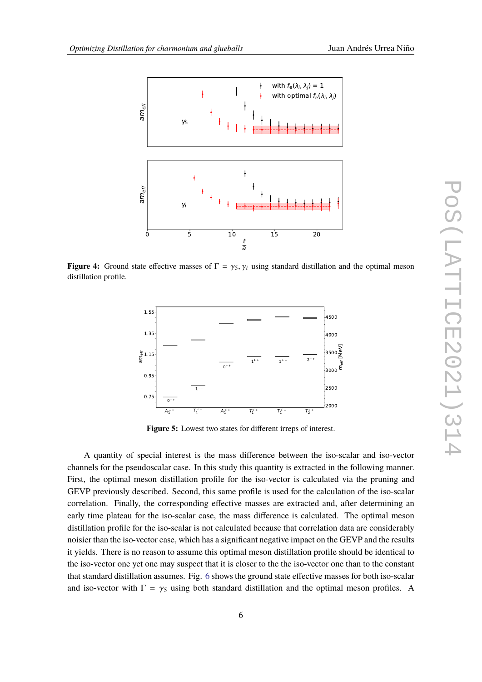<span id="page-5-0"></span>

<span id="page-5-1"></span>**Figure 4:** Ground state effective masses of  $\Gamma = \gamma_5, \gamma_i$  using standard distillation and the optimal meson distillation profile.



**Figure 5:** Lowest two states for different irreps of interest.

A quantity of special interest is the mass difference between the iso-scalar and iso-vector channels for the pseudoscalar case. In this study this quantity is extracted in the following manner. First, the optimal meson distillation profile for the iso-vector is calculated via the pruning and GEVP previously described. Second, this same profile is used for the calculation of the iso-scalar correlation. Finally, the corresponding effective masses are extracted and, after determining an early time plateau for the iso-scalar case, the mass difference is calculated. The optimal meson distillation profile for the iso-scalar is not calculated because that correlation data are considerably noisier than the iso-vector case, which has a significant negative impact on the GEVP and the results it yields. There is no reason to assume this optimal meson distillation profile should be identical to the iso-vector one yet one may suspect that it is closer to the the iso-vector one than to the constant that standard distillation assumes. Fig. [6](#page-6-0) shows the ground state effective masses for both iso-scalar and iso-vector with  $\Gamma = \gamma_5$  using both standard distillation and the optimal meson profiles. A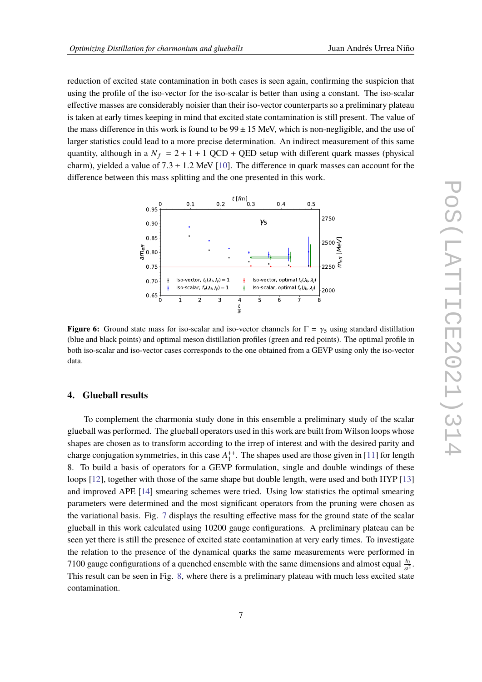reduction of excited state contamination in both cases is seen again, confirming the suspicion that using the profile of the iso-vector for the iso-scalar is better than using a constant. The iso-scalar effective masses are considerably noisier than their iso-vector counterparts so a preliminary plateau is taken at early times keeping in mind that excited state contamination is still present. The value of the mass difference in this work is found to be  $99 \pm 15$  MeV, which is non-negligible, and the use of larger statistics could lead to a more precise determination. An indirect measurement of this same quantity, although in a  $N_f = 2 + 1 + 1$  QCD + QED setup with different quark masses (physical charm), yielded a value of  $7.3 \pm 1.2$  MeV [\[10\]](#page-9-0). The difference in quark masses can account for the difference between this mass splitting and the one presented in this work.

<span id="page-6-0"></span>

**Figure 6:** Ground state mass for iso-scalar and iso-vector channels for  $\Gamma = \gamma_5$  using standard distillation (blue and black points) and optimal meson distillation profiles (green and red points). The optimal profile in both iso-scalar and iso-vector cases corresponds to the one obtained from a GEVP using only the iso-vector data.

### **4. Glueball results**

To complement the charmonia study done in this ensemble a preliminary study of the scalar glueball was performed. The glueball operators used in this work are built from Wilson loops whose shapes are chosen as to transform according to the irrep of interest and with the desired parity and charge conjugation symmetries, in this case  $A_1^{++}$  $1^+$ . The shapes used are those given in [\[11\]](#page-9-1) for length 8. To build a basis of operators for a GEVP formulation, single and double windings of these loops [\[12\]](#page-9-2), together with those of the same shape but double length, were used and both HYP [\[13\]](#page-9-3) and improved APE [\[14\]](#page-9-4) smearing schemes were tried. Using low statistics the optimal smearing parameters were determined and the most significant operators from the pruning were chosen as the variational basis. Fig. [7](#page-7-0) displays the resulting effective mass for the ground state of the scalar glueball in this work calculated using 10200 gauge configurations. A preliminary plateau can be seen yet there is still the presence of excited state contamination at very early times. To investigate the relation to the presence of the dynamical quarks the same measurements were performed in 7100 gauge configurations of a quenched ensemble with the same dimensions and almost equal  $\frac{t_0}{a^2}$ . This result can be seen in Fig. [8,](#page-7-1) where there is a preliminary plateau with much less excited state contamination.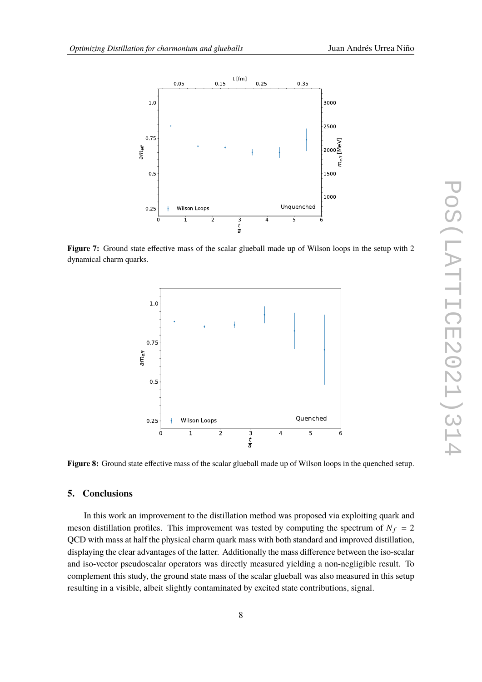<span id="page-7-0"></span>

<span id="page-7-1"></span>**Figure 7:** Ground state effective mass of the scalar glueball made up of Wilson loops in the setup with 2 dynamical charm quarks.



**Figure 8:** Ground state effective mass of the scalar glueball made up of Wilson loops in the quenched setup.

# **5. Conclusions**

In this work an improvement to the distillation method was proposed via exploiting quark and meson distillation profiles. This improvement was tested by computing the spectrum of  $N_f = 2$ QCD with mass at half the physical charm quark mass with both standard and improved distillation, displaying the clear advantages of the latter. Additionally the mass difference between the iso-scalar and iso-vector pseudoscalar operators was directly measured yielding a non-negligible result. To complement this study, the ground state mass of the scalar glueball was also measured in this setup resulting in a visible, albeit slightly contaminated by excited state contributions, signal.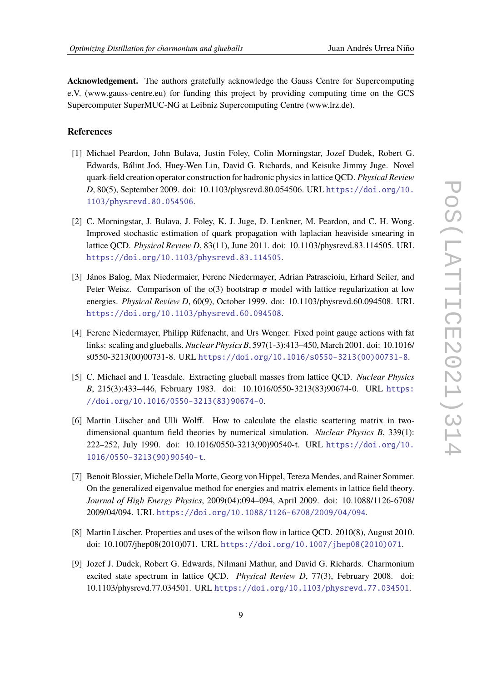**Acknowledgement.** The authors gratefully acknowledge the Gauss Centre for Supercomputing e.V. (www.gauss-centre.eu) for funding this project by providing computing time on the GCS Supercomputer SuperMUC-NG at Leibniz Supercomputing Centre (www.lrz.de).

### **References**

- <span id="page-8-0"></span>[1] Michael Peardon, John Bulava, Justin Foley, Colin Morningstar, Jozef Dudek, Robert G. Edwards, Bálint Joó, Huey-Wen Lin, David G. Richards, and Keisuke Jimmy Juge. Novel quark-field creation operator construction for hadronic physics in lattice QCD. *Physical Review D*, 80(5), September 2009. doi: 10.1103/physrevd.80.054506. URL [https://doi.org/10.](https://doi.org/10.1103/physrevd.80.054506) [1103/physrevd.80.054506](https://doi.org/10.1103/physrevd.80.054506).
- <span id="page-8-1"></span>[2] C. Morningstar, J. Bulava, J. Foley, K. J. Juge, D. Lenkner, M. Peardon, and C. H. Wong. Improved stochastic estimation of quark propagation with laplacian heaviside smearing in lattice QCD. *Physical Review D*, 83(11), June 2011. doi: 10.1103/physrevd.83.114505. URL <https://doi.org/10.1103/physrevd.83.114505>.
- <span id="page-8-2"></span>[3] János Balog, Max Niedermaier, Ferenc Niedermayer, Adrian Patrascioiu, Erhard Seiler, and Peter Weisz. Comparison of the  $o(3)$  bootstrap  $\sigma$  model with lattice regularization at low energies. *Physical Review D*, 60(9), October 1999. doi: 10.1103/physrevd.60.094508. URL <https://doi.org/10.1103/physrevd.60.094508>.
- <span id="page-8-3"></span>[4] Ferenc Niedermayer, Philipp Rüfenacht, and Urs Wenger. Fixed point gauge actions with fat links: scaling and glueballs. *Nuclear Physics B*, 597(1-3):413–450, March 2001. doi: 10.1016/ s0550-3213(00)00731-8. URL [https://doi.org/10.1016/s0550-3213\(00\)00731-8](https://doi.org/10.1016/s0550-3213(00)00731-8).
- <span id="page-8-4"></span>[5] C. Michael and I. Teasdale. Extracting glueball masses from lattice QCD. *Nuclear Physics B*, 215(3):433–446, February 1983. doi: 10.1016/0550-3213(83)90674-0. URL [https:](https://doi.org/10.1016/0550-3213(83)90674-0) [//doi.org/10.1016/0550-3213\(83\)90674-0](https://doi.org/10.1016/0550-3213(83)90674-0).
- [6] Martin Lüscher and Ulli Wolff. How to calculate the elastic scattering matrix in twodimensional quantum field theories by numerical simulation. *Nuclear Physics B*, 339(1): 222–252, July 1990. doi: 10.1016/0550-3213(90)90540-t. URL [https://doi.org/10.](https://doi.org/10.1016/0550-3213(90)90540-t) [1016/0550-3213\(90\)90540-t](https://doi.org/10.1016/0550-3213(90)90540-t).
- <span id="page-8-5"></span>[7] Benoit Blossier, Michele Della Morte, Georg von Hippel, Tereza Mendes, and Rainer Sommer. On the generalized eigenvalue method for energies and matrix elements in lattice field theory. *Journal of High Energy Physics*, 2009(04):094–094, April 2009. doi: 10.1088/1126-6708/ 2009/04/094. URL <https://doi.org/10.1088/1126-6708/2009/04/094>.
- <span id="page-8-6"></span>[8] Martin Lüscher. Properties and uses of the wilson flow in lattice QCD. 2010(8), August 2010. doi: 10.1007/jhep08(2010)071. URL [https://doi.org/10.1007/jhep08\(2010\)071](https://doi.org/10.1007/jhep08(2010)071).
- <span id="page-8-7"></span>[9] Jozef J. Dudek, Robert G. Edwards, Nilmani Mathur, and David G. Richards. Charmonium excited state spectrum in lattice QCD. *Physical Review D*, 77(3), February 2008. doi: 10.1103/physrevd.77.034501. URL <https://doi.org/10.1103/physrevd.77.034501>.